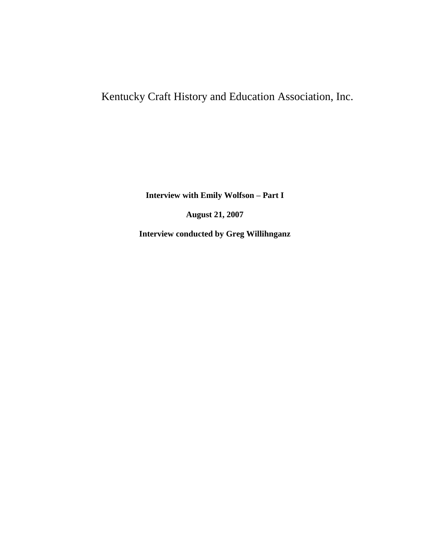## Kentucky Craft History and Education Association, Inc.

**Interview with Emily Wolfson – Part I**

**August 21, 2007**

**Interview conducted by Greg Willihnganz**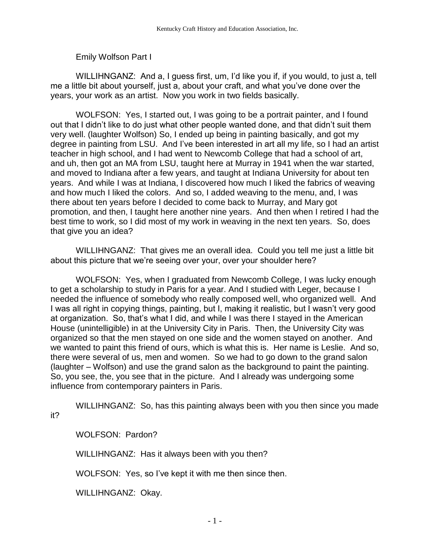Emily Wolfson Part I

WILLIHNGANZ: And a, I guess first, um, I'd like you if, if you would, to just a, tell me a little bit about yourself, just a, about your craft, and what you've done over the years, your work as an artist. Now you work in two fields basically.

WOLFSON: Yes, I started out, I was going to be a portrait painter, and I found out that I didn't like to do just what other people wanted done, and that didn't suit them very well. (laughter Wolfson) So, I ended up being in painting basically, and got my degree in painting from LSU. And I've been interested in art all my life, so I had an artist teacher in high school, and I had went to Newcomb College that had a school of art, and uh, then got an MA from LSU, taught here at Murray in 1941 when the war started, and moved to Indiana after a few years, and taught at Indiana University for about ten years. And while I was at Indiana, I discovered how much I liked the fabrics of weaving and how much I liked the colors. And so, I added weaving to the menu, and, I was there about ten years before I decided to come back to Murray, and Mary got promotion, and then, I taught here another nine years. And then when I retired I had the best time to work, so I did most of my work in weaving in the next ten years. So, does that give you an idea?

WILLIHNGANZ: That gives me an overall idea. Could you tell me just a little bit about this picture that we're seeing over your, over your shoulder here?

WOLFSON: Yes, when I graduated from Newcomb College, I was lucky enough to get a scholarship to study in Paris for a year. And I studied with Leger, because I needed the influence of somebody who really composed well, who organized well. And I was all right in copying things, painting, but I, making it realistic, but I wasn't very good at organization. So, that's what I did, and while I was there I stayed in the American House (unintelligible) in at the University City in Paris. Then, the University City was organized so that the men stayed on one side and the women stayed on another. And we wanted to paint this friend of ours, which is what this is. Her name is Leslie. And so, there were several of us, men and women. So we had to go down to the grand salon (laughter – Wolfson) and use the grand salon as the background to paint the painting. So, you see, the, you see that in the picture. And I already was undergoing some influence from contemporary painters in Paris.

WILLIHNGANZ: So, has this painting always been with you then since you made it?

WOLFSON: Pardon?

WILLIHNGANZ: Has it always been with you then?

WOLFSON: Yes, so I've kept it with me then since then.

WILLIHNGANZ: Okay.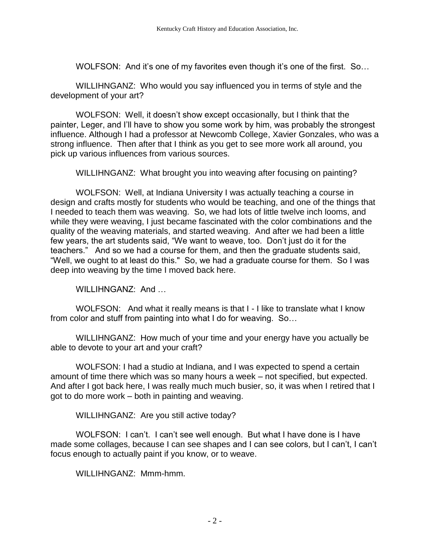WOLFSON: And it's one of my favorites even though it's one of the first. So...

WILLIHNGANZ: Who would you say influenced you in terms of style and the development of your art?

WOLFSON: Well, it doesn't show except occasionally, but I think that the painter, Leger, and I'll have to show you some work by him, was probably the strongest influence. Although I had a professor at Newcomb College, Xavier Gonzales, who was a strong influence. Then after that I think as you get to see more work all around, you pick up various influences from various sources.

WILLIHNGANZ: What brought you into weaving after focusing on painting?

WOLFSON: Well, at Indiana University I was actually teaching a course in design and crafts mostly for students who would be teaching, and one of the things that I needed to teach them was weaving. So, we had lots of little twelve inch looms, and while they were weaving, I just became fascinated with the color combinations and the quality of the weaving materials, and started weaving. And after we had been a little few years, the art students said, "We want to weave, too. Don't just do it for the teachers." And so we had a course for them, and then the graduate students said, "Well, we ought to at least do this." So, we had a graduate course for them. So I was deep into weaving by the time I moved back here.

WILLIHNGANZ: And ...

WOLFSON: And what it really means is that I - I like to translate what I know from color and stuff from painting into what I do for weaving. So…

WILLIHNGANZ: How much of your time and your energy have you actually be able to devote to your art and your craft?

WOLFSON: I had a studio at Indiana, and I was expected to spend a certain amount of time there which was so many hours a week – not specified, but expected. And after I got back here, I was really much much busier, so, it was when I retired that I got to do more work – both in painting and weaving.

WILLIHNGANZ: Are you still active today?

WOLFSON: I can't. I can't see well enough. But what I have done is I have made some collages, because I can see shapes and I can see colors, but I can't, I can't focus enough to actually paint if you know, or to weave.

WILLIHNGANZ: Mmm-hmm.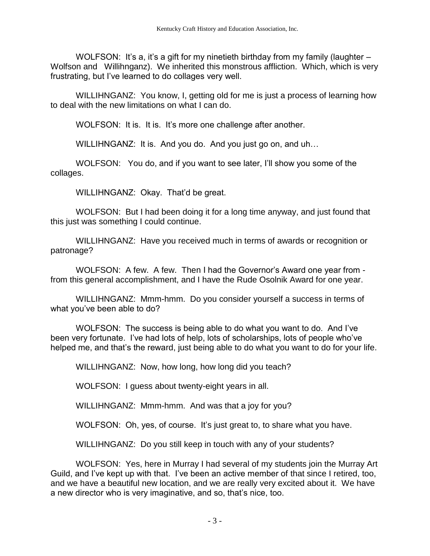WOLFSON: It's a, it's a gift for my ninetieth birthday from my family (laughter  $-$ Wolfson and Willihnganz). We inherited this monstrous affliction. Which, which is very frustrating, but I've learned to do collages very well.

WILLIHNGANZ: You know, I, getting old for me is just a process of learning how to deal with the new limitations on what I can do.

WOLFSON: It is. It is. It's more one challenge after another.

WILLIHNGANZ: It is. And you do. And you just go on, and uh...

WOLFSON: You do, and if you want to see later, I'll show you some of the collages.

WILLIHNGANZ: Okay. That'd be great.

WOLFSON: But I had been doing it for a long time anyway, and just found that this just was something I could continue.

WILLIHNGANZ: Have you received much in terms of awards or recognition or patronage?

WOLFSON: A few. A few. Then I had the Governor's Award one year from from this general accomplishment, and I have the Rude Osolnik Award for one year.

WILLIHNGANZ: Mmm-hmm. Do you consider yourself a success in terms of what you've been able to do?

WOLFSON: The success is being able to do what you want to do. And I've been very fortunate. I've had lots of help, lots of scholarships, lots of people who've helped me, and that's the reward, just being able to do what you want to do for your life.

WILLIHNGANZ: Now, how long, how long did you teach?

WOLFSON: I guess about twenty-eight years in all.

WILLIHNGANZ: Mmm-hmm. And was that a joy for you?

WOLFSON: Oh, yes, of course. It's just great to, to share what you have.

WILLIHNGANZ: Do you still keep in touch with any of your students?

WOLFSON: Yes, here in Murray I had several of my students join the Murray Art Guild, and I've kept up with that. I've been an active member of that since I retired, too, and we have a beautiful new location, and we are really very excited about it. We have a new director who is very imaginative, and so, that's nice, too.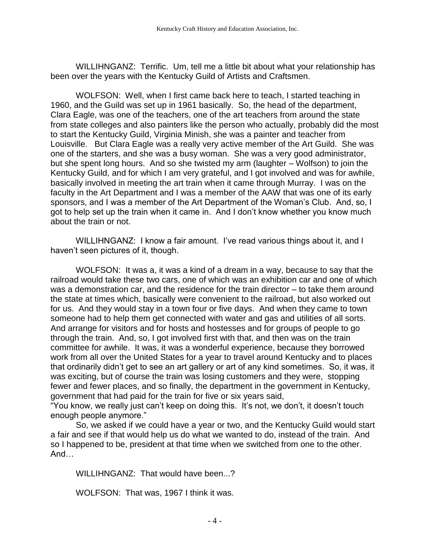WILLIHNGANZ: Terrific. Um, tell me a little bit about what your relationship has been over the years with the Kentucky Guild of Artists and Craftsmen.

WOLFSON: Well, when I first came back here to teach, I started teaching in 1960, and the Guild was set up in 1961 basically. So, the head of the department, Clara Eagle, was one of the teachers, one of the art teachers from around the state from state colleges and also painters like the person who actually, probably did the most to start the Kentucky Guild, Virginia Minish, she was a painter and teacher from Louisville. But Clara Eagle was a really very active member of the Art Guild. She was one of the starters, and she was a busy woman. She was a very good administrator, but she spent long hours. And so she twisted my arm (laughter – Wolfson) to join the Kentucky Guild, and for which I am very grateful, and I got involved and was for awhile, basically involved in meeting the art train when it came through Murray. I was on the faculty in the Art Department and I was a member of the AAW that was one of its early sponsors, and I was a member of the Art Department of the Woman's Club. And, so, I got to help set up the train when it came in. And I don't know whether you know much about the train or not.

WILLIHNGANZ: I know a fair amount. I've read various things about it, and I haven't seen pictures of it, though.

WOLFSON: It was a, it was a kind of a dream in a way, because to say that the railroad would take these two cars, one of which was an exhibition car and one of which was a demonstration car, and the residence for the train director – to take them around the state at times which, basically were convenient to the railroad, but also worked out for us. And they would stay in a town four or five days. And when they came to town someone had to help them get connected with water and gas and utilities of all sorts. And arrange for visitors and for hosts and hostesses and for groups of people to go through the train. And, so, I got involved first with that, and then was on the train committee for awhile. It was, it was a wonderful experience, because they borrowed work from all over the United States for a year to travel around Kentucky and to places that ordinarily didn't get to see an art gallery or art of any kind sometimes. So, it was, it was exciting, but of course the train was losing customers and they were, stopping fewer and fewer places, and so finally, the department in the government in Kentucky, government that had paid for the train for five or six years said,

"You know, we really just can't keep on doing this. It's not, we don't, it doesn't touch enough people anymore."

So, we asked if we could have a year or two, and the Kentucky Guild would start a fair and see if that would help us do what we wanted to do, instead of the train. And so I happened to be, president at that time when we switched from one to the other. And…

WILLIHNGANZ: That would have been...?

WOLFSON: That was, 1967 I think it was.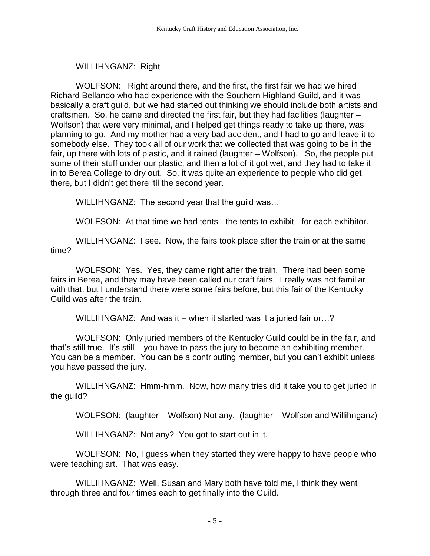## WILLIHNGANZ: Right

WOLFSON: Right around there, and the first, the first fair we had we hired Richard Bellando who had experience with the Southern Highland Guild, and it was basically a craft guild, but we had started out thinking we should include both artists and craftsmen. So, he came and directed the first fair, but they had facilities (laughter – Wolfson) that were very minimal, and I helped get things ready to take up there, was planning to go. And my mother had a very bad accident, and I had to go and leave it to somebody else. They took all of our work that we collected that was going to be in the fair, up there with lots of plastic, and it rained (laughter – Wolfson). So, the people put some of their stuff under our plastic, and then a lot of it got wet, and they had to take it in to Berea College to dry out. So, it was quite an experience to people who did get there, but I didn't get there 'til the second year.

WILLIHNGANZ: The second year that the guild was…

WOLFSON: At that time we had tents - the tents to exhibit - for each exhibitor.

WILLIHNGANZ: I see. Now, the fairs took place after the train or at the same time?

WOLFSON: Yes. Yes, they came right after the train. There had been some fairs in Berea, and they may have been called our craft fairs. I really was not familiar with that, but I understand there were some fairs before, but this fair of the Kentucky Guild was after the train.

WILLIHNGANZ: And was it – when it started was it a juried fair or...?

WOLFSON: Only juried members of the Kentucky Guild could be in the fair, and that's still true. It's still – you have to pass the jury to become an exhibiting member. You can be a member. You can be a contributing member, but you can't exhibit unless you have passed the jury.

WILLIHNGANZ: Hmm-hmm. Now, how many tries did it take you to get juried in the guild?

WOLFSON: (laughter – Wolfson) Not any. (laughter – Wolfson and Willihnganz)

WILLIHNGANZ: Not any? You got to start out in it.

WOLFSON: No, I guess when they started they were happy to have people who were teaching art. That was easy.

WILLIHNGANZ: Well, Susan and Mary both have told me, I think they went through three and four times each to get finally into the Guild.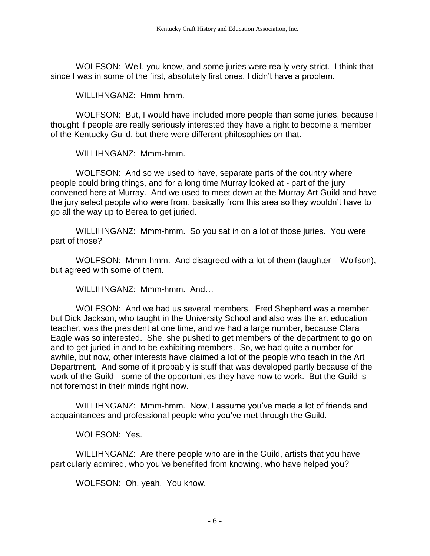WOLFSON: Well, you know, and some juries were really very strict. I think that since I was in some of the first, absolutely first ones, I didn't have a problem.

WILLIHNGANZ: Hmm-hmm.

WOLFSON: But, I would have included more people than some juries, because I thought if people are really seriously interested they have a right to become a member of the Kentucky Guild, but there were different philosophies on that.

WILLIHNGANZ: Mmm-hmm.

WOLFSON: And so we used to have, separate parts of the country where people could bring things, and for a long time Murray looked at - part of the jury convened here at Murray. And we used to meet down at the Murray Art Guild and have the jury select people who were from, basically from this area so they wouldn't have to go all the way up to Berea to get juried.

WILLIHNGANZ: Mmm-hmm. So you sat in on a lot of those juries. You were part of those?

WOLFSON: Mmm-hmm. And disagreed with a lot of them (laughter – Wolfson), but agreed with some of them.

WILLIHNGANZ: Mmm-hmm. And…

WOLFSON: And we had us several members. Fred Shepherd was a member, but Dick Jackson, who taught in the University School and also was the art education teacher, was the president at one time, and we had a large number, because Clara Eagle was so interested. She, she pushed to get members of the department to go on and to get juried in and to be exhibiting members. So, we had quite a number for awhile, but now, other interests have claimed a lot of the people who teach in the Art Department. And some of it probably is stuff that was developed partly because of the work of the Guild - some of the opportunities they have now to work. But the Guild is not foremost in their minds right now.

WILLIHNGANZ: Mmm-hmm. Now, I assume you've made a lot of friends and acquaintances and professional people who you've met through the Guild.

WOLFSON: Yes.

WILLIHNGANZ: Are there people who are in the Guild, artists that you have particularly admired, who you've benefited from knowing, who have helped you?

WOLFSON: Oh, yeah. You know.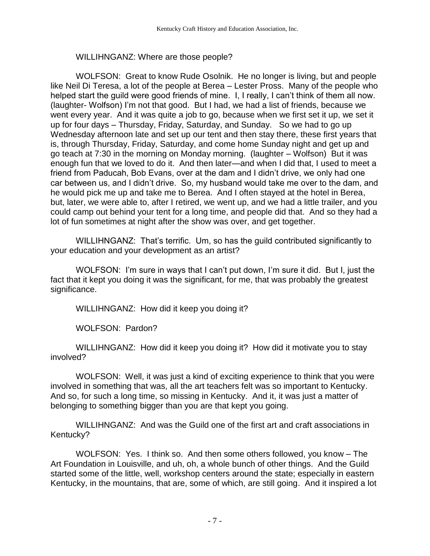## WILLIHNGANZ: Where are those people?

WOLFSON: Great to know Rude Osolnik. He no longer is living, but and people like Neil Di Teresa, a lot of the people at Berea – Lester Pross. Many of the people who helped start the guild were good friends of mine. I, I really, I can't think of them all now. (laughter- Wolfson) I'm not that good. But I had, we had a list of friends, because we went every year. And it was quite a job to go, because when we first set it up, we set it up for four days – Thursday, Friday, Saturday, and Sunday. So we had to go up Wednesday afternoon late and set up our tent and then stay there, these first years that is, through Thursday, Friday, Saturday, and come home Sunday night and get up and go teach at 7:30 in the morning on Monday morning. (laughter – Wolfson) But it was enough fun that we loved to do it. And then later—and when I did that, I used to meet a friend from Paducah, Bob Evans, over at the dam and I didn't drive, we only had one car between us, and I didn't drive. So, my husband would take me over to the dam, and he would pick me up and take me to Berea. And I often stayed at the hotel in Berea, but, later, we were able to, after I retired, we went up, and we had a little trailer, and you could camp out behind your tent for a long time, and people did that. And so they had a lot of fun sometimes at night after the show was over, and get together.

WILLIHNGANZ: That's terrific. Um, so has the guild contributed significantly to your education and your development as an artist?

WOLFSON: I'm sure in ways that I can't put down, I'm sure it did. But I, just the fact that it kept you doing it was the significant, for me, that was probably the greatest significance.

WILLIHNGANZ: How did it keep you doing it?

WOLFSON: Pardon?

WILLIHNGANZ: How did it keep you doing it? How did it motivate you to stay involved?

WOLFSON: Well, it was just a kind of exciting experience to think that you were involved in something that was, all the art teachers felt was so important to Kentucky. And so, for such a long time, so missing in Kentucky. And it, it was just a matter of belonging to something bigger than you are that kept you going.

WILLIHNGANZ: And was the Guild one of the first art and craft associations in Kentucky?

WOLFSON: Yes. I think so. And then some others followed, you know – The Art Foundation in Louisville, and uh, oh, a whole bunch of other things. And the Guild started some of the little, well, workshop centers around the state; especially in eastern Kentucky, in the mountains, that are, some of which, are still going. And it inspired a lot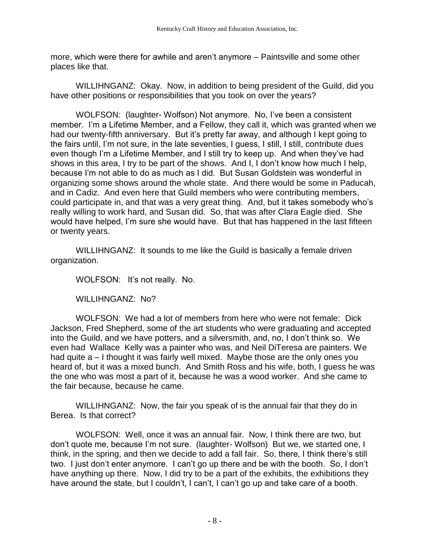more, which were there for awhile and aren't anymore – Paintsville and some other places like that.

WILLIHNGANZ: Okay. Now, in addition to being president of the Guild, did you have other positions or responsibilities that you took on over the years?

WOLFSON: (laughter- Wolfson) Not anymore. No, I've been a consistent member. I'm a Lifetime Member, and a Fellow, they call it, which was granted when we had our twenty-fifth anniversary. But it's pretty far away, and although I kept going to the fairs until, I'm not sure, in the late seventies, I guess, I still, I still, contribute dues even though I'm a Lifetime Member, and I still try to keep up. And when they've had shows in this area, I try to be part of the shows. And I, I don't know how much I help, because I'm not able to do as much as I did. But Susan Goldstein was wonderful in organizing some shows around the whole state. And there would be some in Paducah, and in Cadiz. And even here that Guild members who were contributing members, could participate in, and that was a very great thing. And, but it takes somebody who's really willing to work hard, and Susan did. So, that was after Clara Eagle died. She would have helped, I'm sure she would have. But that has happened in the last fifteen or twenty years.

WILLIHNGANZ: It sounds to me like the Guild is basically a female driven organization.

WOLFSON: It's not really. No.

WILLIHNGANZ: No?

WOLFSON: We had a lot of members from here who were not female: Dick Jackson, Fred Shepherd, some of the art students who were graduating and accepted into the Guild, and we have potters, and a silversmith, and, no, I don't think so. We even had Wallace Kelly was a painter who was, and Neil DiTeresa are painters. We had quite a – I thought it was fairly well mixed. Maybe those are the only ones you heard of, but it was a mixed bunch. And Smith Ross and his wife, both, I guess he was the one who was most a part of it, because he was a wood worker. And she came to the fair because, because he came.

WILLIHNGANZ: Now, the fair you speak of is the annual fair that they do in Berea. Is that correct?

WOLFSON: Well, once it was an annual fair. Now, I think there are two, but don't quote me, because I'm not sure. (laughter- Wolfson) But we, we started one, I think, in the spring, and then we decide to add a fall fair. So, there, I think there's still two. I just don't enter anymore. I can't go up there and be with the booth. So, I don't have anything up there. Now, I did try to be a part of the exhibits, the exhibitions they have around the state, but I couldn't, I can't, I can't go up and take care of a booth.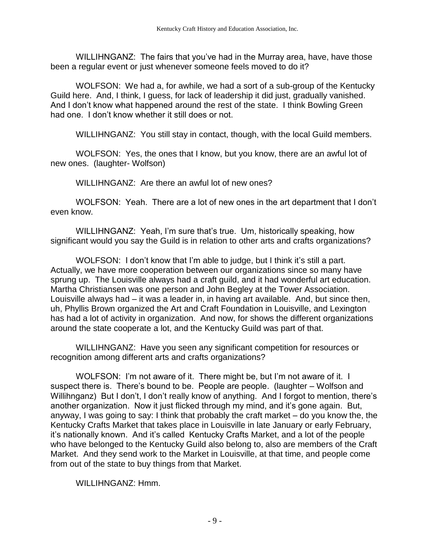WILLIHNGANZ: The fairs that you've had in the Murray area, have, have those been a regular event or just whenever someone feels moved to do it?

WOLFSON: We had a, for awhile, we had a sort of a sub-group of the Kentucky Guild here. And, I think, I guess, for lack of leadership it did just, gradually vanished. And I don't know what happened around the rest of the state. I think Bowling Green had one. I don't know whether it still does or not.

WILLIHNGANZ: You still stay in contact, though, with the local Guild members.

WOLFSON: Yes, the ones that I know, but you know, there are an awful lot of new ones. (laughter- Wolfson)

WILLIHNGANZ: Are there an awful lot of new ones?

WOLFSON: Yeah. There are a lot of new ones in the art department that I don't even know.

WILLIHNGANZ: Yeah, I'm sure that's true. Um, historically speaking, how significant would you say the Guild is in relation to other arts and crafts organizations?

WOLFSON: I don't know that I'm able to judge, but I think it's still a part. Actually, we have more cooperation between our organizations since so many have sprung up. The Louisville always had a craft guild, and it had wonderful art education. Martha Christiansen was one person and John Begley at the Tower Association. Louisville always had – it was a leader in, in having art available. And, but since then, uh, Phyllis Brown organized the Art and Craft Foundation in Louisville, and Lexington has had a lot of activity in organization. And now, for shows the different organizations around the state cooperate a lot, and the Kentucky Guild was part of that.

WILLIHNGANZ: Have you seen any significant competition for resources or recognition among different arts and crafts organizations?

WOLFSON: I'm not aware of it. There might be, but I'm not aware of it. I suspect there is. There's bound to be. People are people. (laughter – Wolfson and Willihnganz) But I don't, I don't really know of anything. And I forgot to mention, there's another organization. Now it just flicked through my mind, and it's gone again. But, anyway, I was going to say: I think that probably the craft market – do you know the, the Kentucky Crafts Market that takes place in Louisville in late January or early February, it's nationally known. And it's called Kentucky Crafts Market, and a lot of the people who have belonged to the Kentucky Guild also belong to, also are members of the Craft Market. And they send work to the Market in Louisville, at that time, and people come from out of the state to buy things from that Market.

WILLIHNGANZ: Hmm.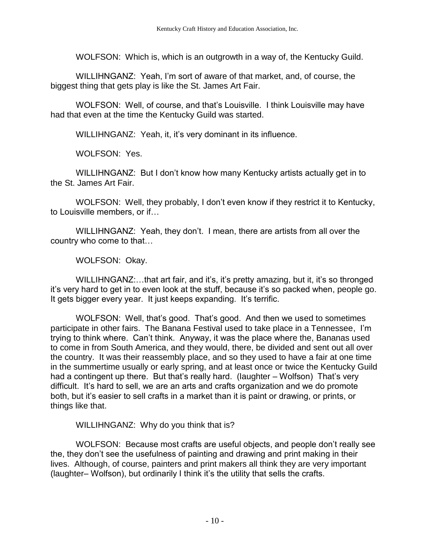WOLFSON: Which is, which is an outgrowth in a way of, the Kentucky Guild.

WILLIHNGANZ: Yeah, I'm sort of aware of that market, and, of course, the biggest thing that gets play is like the St. James Art Fair.

WOLFSON: Well, of course, and that's Louisville. I think Louisville may have had that even at the time the Kentucky Guild was started.

WILLIHNGANZ: Yeah, it, it's very dominant in its influence.

WOLFSON: Yes.

WILLIHNGANZ: But I don't know how many Kentucky artists actually get in to the St. James Art Fair.

WOLFSON: Well, they probably, I don't even know if they restrict it to Kentucky, to Louisville members, or if…

WILLIHNGANZ: Yeah, they don't. I mean, there are artists from all over the country who come to that…

WOLFSON: Okay.

WILLIHNGANZ:…that art fair, and it's, it's pretty amazing, but it, it's so thronged it's very hard to get in to even look at the stuff, because it's so packed when, people go. It gets bigger every year. It just keeps expanding. It's terrific.

WOLFSON: Well, that's good. That's good. And then we used to sometimes participate in other fairs. The Banana Festival used to take place in a Tennessee, I'm trying to think where. Can't think. Anyway, it was the place where the, Bananas used to come in from South America, and they would, there, be divided and sent out all over the country. It was their reassembly place, and so they used to have a fair at one time in the summertime usually or early spring, and at least once or twice the Kentucky Guild had a contingent up there. But that's really hard. (laughter – Wolfson) That's very difficult. It's hard to sell, we are an arts and crafts organization and we do promote both, but it's easier to sell crafts in a market than it is paint or drawing, or prints, or things like that.

WILLIHNGANZ: Why do you think that is?

WOLFSON: Because most crafts are useful objects, and people don't really see the, they don't see the usefulness of painting and drawing and print making in their lives. Although, of course, painters and print makers all think they are very important (laughter– Wolfson), but ordinarily I think it's the utility that sells the crafts.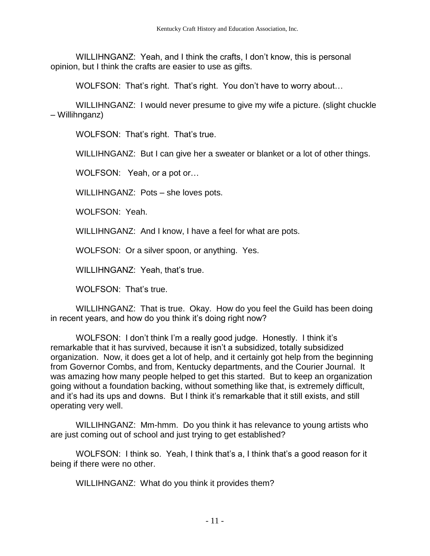WILLIHNGANZ: Yeah, and I think the crafts, I don't know, this is personal opinion, but I think the crafts are easier to use as gifts.

WOLFSON: That's right. That's right. You don't have to worry about…

WILLIHNGANZ: I would never presume to give my wife a picture. (slight chuckle – Willihnganz)

WOLFSON: That's right. That's true.

WILLIHNGANZ: But I can give her a sweater or blanket or a lot of other things.

WOLFSON: Yeah, or a pot or…

WILLIHNGANZ: Pots – she loves pots.

WOLFSON: Yeah.

WILLIHNGANZ: And I know, I have a feel for what are pots.

WOLFSON: Or a silver spoon, or anything. Yes.

WILLIHNGANZ: Yeah, that's true.

WOLFSON: That's true.

WILLIHNGANZ: That is true. Okay. How do you feel the Guild has been doing in recent years, and how do you think it's doing right now?

WOLFSON: I don't think I'm a really good judge. Honestly. I think it's remarkable that it has survived, because it isn't a subsidized, totally subsidized organization. Now, it does get a lot of help, and it certainly got help from the beginning from Governor Combs, and from, Kentucky departments, and the Courier Journal. It was amazing how many people helped to get this started. But to keep an organization going without a foundation backing, without something like that, is extremely difficult, and it's had its ups and downs. But I think it's remarkable that it still exists, and still operating very well.

WILLIHNGANZ: Mm-hmm. Do you think it has relevance to young artists who are just coming out of school and just trying to get established?

WOLFSON: I think so. Yeah, I think that's a, I think that's a good reason for it being if there were no other.

WILLIHNGANZ: What do you think it provides them?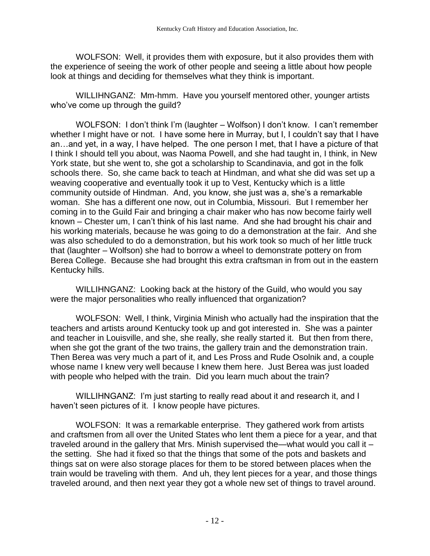WOLFSON: Well, it provides them with exposure, but it also provides them with the experience of seeing the work of other people and seeing a little about how people look at things and deciding for themselves what they think is important.

WILLIHNGANZ: Mm-hmm. Have you yourself mentored other, younger artists who've come up through the quild?

WOLFSON: I don't think I'm (laughter – Wolfson) I don't know. I can't remember whether I might have or not. I have some here in Murray, but I, I couldn't say that I have an…and yet, in a way, I have helped. The one person I met, that I have a picture of that I think I should tell you about, was Naoma Powell, and she had taught in, I think, in New York state, but she went to, she got a scholarship to Scandinavia, and got in the folk schools there. So, she came back to teach at Hindman, and what she did was set up a weaving cooperative and eventually took it up to Vest, Kentucky which is a little community outside of Hindman. And, you know, she just was a, she's a remarkable woman. She has a different one now, out in Columbia, Missouri. But I remember her coming in to the Guild Fair and bringing a chair maker who has now become fairly well known – Chester um, I can't think of his last name. And she had brought his chair and his working materials, because he was going to do a demonstration at the fair. And she was also scheduled to do a demonstration, but his work took so much of her little truck that (laughter – Wolfson) she had to borrow a wheel to demonstrate pottery on from Berea College. Because she had brought this extra craftsman in from out in the eastern Kentucky hills.

WILLIHNGANZ: Looking back at the history of the Guild, who would you say were the major personalities who really influenced that organization?

WOLFSON: Well, I think, Virginia Minish who actually had the inspiration that the teachers and artists around Kentucky took up and got interested in. She was a painter and teacher in Louisville, and she, she really, she really started it. But then from there, when she got the grant of the two trains, the gallery train and the demonstration train. Then Berea was very much a part of it, and Les Pross and Rude Osolnik and, a couple whose name I knew very well because I knew them here. Just Berea was just loaded with people who helped with the train. Did you learn much about the train?

WILLIHNGANZ: I'm just starting to really read about it and research it, and I haven't seen pictures of it. I know people have pictures.

WOLFSON: It was a remarkable enterprise. They gathered work from artists and craftsmen from all over the United States who lent them a piece for a year, and that traveled around in the gallery that Mrs. Minish supervised the—what would you call it – the setting. She had it fixed so that the things that some of the pots and baskets and things sat on were also storage places for them to be stored between places when the train would be traveling with them. And uh, they lent pieces for a year, and those things traveled around, and then next year they got a whole new set of things to travel around.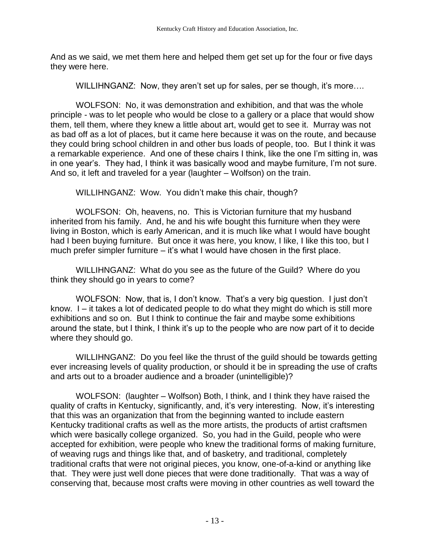And as we said, we met them here and helped them get set up for the four or five days they were here.

WILLIHNGANZ: Now, they aren't set up for sales, per se though, it's more....

WOLFSON: No, it was demonstration and exhibition, and that was the whole principle - was to let people who would be close to a gallery or a place that would show them, tell them, where they knew a little about art, would get to see it. Murray was not as bad off as a lot of places, but it came here because it was on the route, and because they could bring school children in and other bus loads of people, too. But I think it was a remarkable experience. And one of these chairs I think, like the one I'm sitting in, was in one year's. They had, I think it was basically wood and maybe furniture, I'm not sure. And so, it left and traveled for a year (laughter – Wolfson) on the train.

WILLIHNGANZ: Wow. You didn't make this chair, though?

WOLFSON: Oh, heavens, no. This is Victorian furniture that my husband inherited from his family. And, he and his wife bought this furniture when they were living in Boston, which is early American, and it is much like what I would have bought had I been buying furniture. But once it was here, you know, I like, I like this too, but I much prefer simpler furniture – it's what I would have chosen in the first place.

WILLIHNGANZ: What do you see as the future of the Guild? Where do you think they should go in years to come?

WOLFSON: Now, that is, I don't know. That's a very big question. I just don't know. I – it takes a lot of dedicated people to do what they might do which is still more exhibitions and so on. But I think to continue the fair and maybe some exhibitions around the state, but I think, I think it's up to the people who are now part of it to decide where they should go.

WILLIHNGANZ: Do you feel like the thrust of the guild should be towards getting ever increasing levels of quality production, or should it be in spreading the use of crafts and arts out to a broader audience and a broader (unintelligible)?

WOLFSON: (laughter – Wolfson) Both, I think, and I think they have raised the quality of crafts in Kentucky, significantly, and, it's very interesting. Now, it's interesting that this was an organization that from the beginning wanted to include eastern Kentucky traditional crafts as well as the more artists, the products of artist craftsmen which were basically college organized. So, you had in the Guild, people who were accepted for exhibition, were people who knew the traditional forms of making furniture, of weaving rugs and things like that, and of basketry, and traditional, completely traditional crafts that were not original pieces, you know, one-of-a-kind or anything like that. They were just well done pieces that were done traditionally. That was a way of conserving that, because most crafts were moving in other countries as well toward the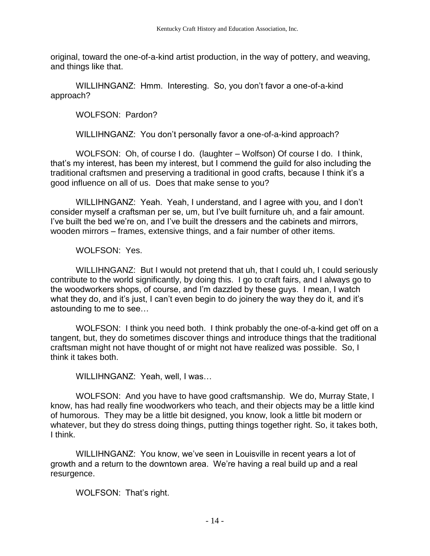original, toward the one-of-a-kind artist production, in the way of pottery, and weaving, and things like that.

WILLIHNGANZ: Hmm. Interesting. So, you don't favor a one-of-a-kind approach?

WOLFSON: Pardon?

WILLIHNGANZ: You don't personally favor a one-of-a-kind approach?

WOLFSON: Oh, of course I do. (laughter – Wolfson) Of course I do. I think, that's my interest, has been my interest, but I commend the guild for also including the traditional craftsmen and preserving a traditional in good crafts, because I think it's a good influence on all of us. Does that make sense to you?

WILLIHNGANZ: Yeah. Yeah, I understand, and I agree with you, and I don't consider myself a craftsman per se, um, but I've built furniture uh, and a fair amount. I've built the bed we're on, and I've built the dressers and the cabinets and mirrors, wooden mirrors – frames, extensive things, and a fair number of other items.

WOLFSON: Yes.

WILLIHNGANZ: But I would not pretend that uh, that I could uh, I could seriously contribute to the world significantly, by doing this. I go to craft fairs, and I always go to the woodworkers shops, of course, and I'm dazzled by these guys. I mean, I watch what they do, and it's just, I can't even begin to do joinery the way they do it, and it's astounding to me to see…

WOLFSON: I think you need both. I think probably the one-of-a-kind get off on a tangent, but, they do sometimes discover things and introduce things that the traditional craftsman might not have thought of or might not have realized was possible. So, I think it takes both.

WILLIHNGANZ: Yeah, well, I was…

WOLFSON: And you have to have good craftsmanship. We do, Murray State, I know, has had really fine woodworkers who teach, and their objects may be a little kind of humorous. They may be a little bit designed, you know, look a little bit modern or whatever, but they do stress doing things, putting things together right. So, it takes both, I think.

WILLIHNGANZ: You know, we've seen in Louisville in recent years a lot of growth and a return to the downtown area. We're having a real build up and a real resurgence.

WOLFSON: That's right.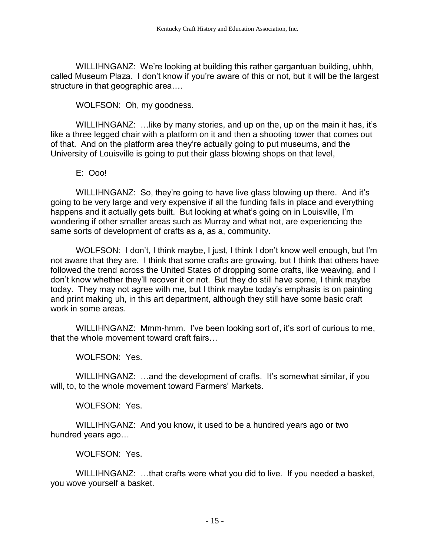WILLIHNGANZ: We're looking at building this rather gargantuan building, uhhh, called Museum Plaza. I don't know if you're aware of this or not, but it will be the largest structure in that geographic area….

WOLFSON: Oh, my goodness.

WILLIHNGANZ: ... like by many stories, and up on the, up on the main it has, it's like a three legged chair with a platform on it and then a shooting tower that comes out of that. And on the platform area they're actually going to put museums, and the University of Louisville is going to put their glass blowing shops on that level,

E: Ooo!

WILLIHNGANZ: So, they're going to have live glass blowing up there. And it's going to be very large and very expensive if all the funding falls in place and everything happens and it actually gets built. But looking at what's going on in Louisville, I'm wondering if other smaller areas such as Murray and what not, are experiencing the same sorts of development of crafts as a, as a, community.

WOLFSON: I don't, I think maybe, I just, I think I don't know well enough, but I'm not aware that they are. I think that some crafts are growing, but I think that others have followed the trend across the United States of dropping some crafts, like weaving, and I don't know whether they'll recover it or not. But they do still have some, I think maybe today. They may not agree with me, but I think maybe today's emphasis is on painting and print making uh, in this art department, although they still have some basic craft work in some areas.

WILLIHNGANZ: Mmm-hmm. I've been looking sort of, it's sort of curious to me, that the whole movement toward craft fairs…

WOLFSON: Yes.

WILLIHNGANZ: …and the development of crafts. It's somewhat similar, if you will, to, to the whole movement toward Farmers' Markets.

WOLFSON: Yes.

WILLIHNGANZ: And you know, it used to be a hundred years ago or two hundred years ago…

WOLFSON: Yes.

WILLIHNGANZ: …that crafts were what you did to live. If you needed a basket, you wove yourself a basket.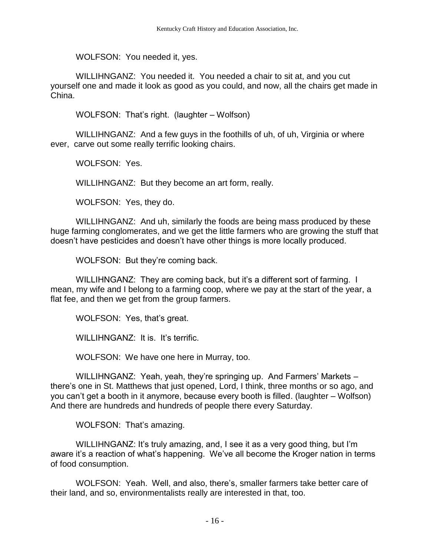WOLFSON: You needed it, yes.

WILLIHNGANZ: You needed it. You needed a chair to sit at, and you cut yourself one and made it look as good as you could, and now, all the chairs get made in China.

WOLFSON: That's right. (laughter – Wolfson)

WILLIHNGANZ: And a few guys in the foothills of uh, of uh, Virginia or where ever, carve out some really terrific looking chairs.

WOLFSON: Yes.

WILLIHNGANZ: But they become an art form, really.

WOLFSON: Yes, they do.

WILLIHNGANZ: And uh, similarly the foods are being mass produced by these huge farming conglomerates, and we get the little farmers who are growing the stuff that doesn't have pesticides and doesn't have other things is more locally produced.

WOLFSON: But they're coming back.

WILLIHNGANZ: They are coming back, but it's a different sort of farming. I mean, my wife and I belong to a farming coop, where we pay at the start of the year, a flat fee, and then we get from the group farmers.

WOLFSON: Yes, that's great.

WILLIHNGANZ: It is. It's terrific.

WOLFSON: We have one here in Murray, too.

WILLIHNGANZ: Yeah, yeah, they're springing up. And Farmers' Markets – there's one in St. Matthews that just opened, Lord, I think, three months or so ago, and you can't get a booth in it anymore, because every booth is filled. (laughter – Wolfson) And there are hundreds and hundreds of people there every Saturday.

WOLFSON: That's amazing.

WILLIHNGANZ: It's truly amazing, and, I see it as a very good thing, but I'm aware it's a reaction of what's happening. We've all become the Kroger nation in terms of food consumption.

WOLFSON: Yeah. Well, and also, there's, smaller farmers take better care of their land, and so, environmentalists really are interested in that, too.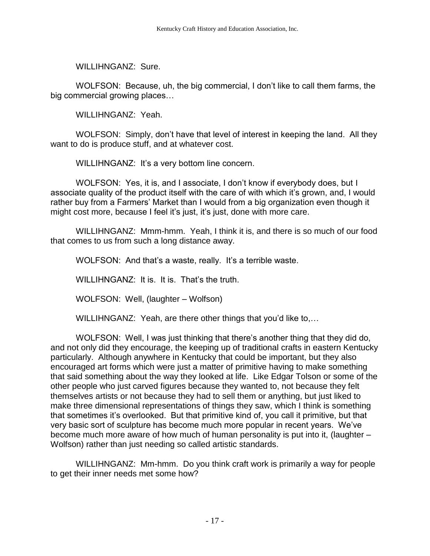WILLIHNGANZ: Sure.

WOLFSON: Because, uh, the big commercial, I don't like to call them farms, the big commercial growing places…

WILLIHNGANZ: Yeah.

WOLFSON: Simply, don't have that level of interest in keeping the land. All they want to do is produce stuff, and at whatever cost.

WILLIHNGANZ: It's a very bottom line concern.

WOLFSON: Yes, it is, and I associate, I don't know if everybody does, but I associate quality of the product itself with the care of with which it's grown, and, I would rather buy from a Farmers' Market than I would from a big organization even though it might cost more, because I feel it's just, it's just, done with more care.

WILLIHNGANZ: Mmm-hmm. Yeah, I think it is, and there is so much of our food that comes to us from such a long distance away.

WOLFSON: And that's a waste, really. It's a terrible waste.

WILLIHNGANZ: It is. It is. That's the truth.

WOLFSON: Well, (laughter – Wolfson)

WILLIHNGANZ: Yeah, are there other things that you'd like to,…

WOLFSON: Well, I was just thinking that there's another thing that they did do, and not only did they encourage, the keeping up of traditional crafts in eastern Kentucky particularly. Although anywhere in Kentucky that could be important, but they also encouraged art forms which were just a matter of primitive having to make something that said something about the way they looked at life. Like Edgar Tolson or some of the other people who just carved figures because they wanted to, not because they felt themselves artists or not because they had to sell them or anything, but just liked to make three dimensional representations of things they saw, which I think is something that sometimes it's overlooked. But that primitive kind of, you call it primitive, but that very basic sort of sculpture has become much more popular in recent years. We've become much more aware of how much of human personality is put into it, (laughter – Wolfson) rather than just needing so called artistic standards.

WILLIHNGANZ: Mm-hmm. Do you think craft work is primarily a way for people to get their inner needs met some how?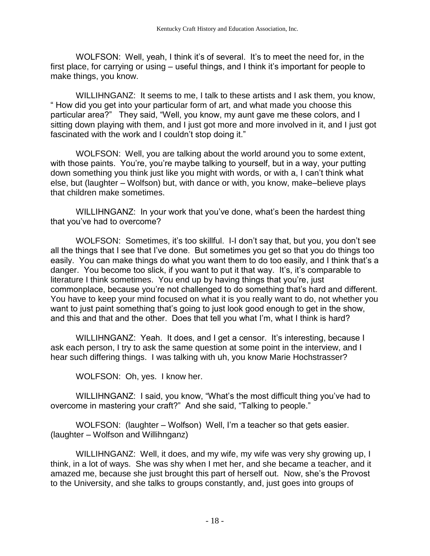WOLFSON: Well, yeah, I think it's of several. It's to meet the need for, in the first place, for carrying or using – useful things, and I think it's important for people to make things, you know.

WILLIHNGANZ: It seems to me, I talk to these artists and I ask them, you know, " How did you get into your particular form of art, and what made you choose this particular area?" They said, "Well, you know, my aunt gave me these colors, and I sitting down playing with them, and I just got more and more involved in it, and I just got fascinated with the work and I couldn't stop doing it."

WOLFSON: Well, you are talking about the world around you to some extent, with those paints. You're, you're maybe talking to yourself, but in a way, your putting down something you think just like you might with words, or with a, I can't think what else, but (laughter – Wolfson) but, with dance or with, you know, make–believe plays that children make sometimes.

WILLIHNGANZ: In your work that you've done, what's been the hardest thing that you've had to overcome?

WOLFSON: Sometimes, it's too skillful. I-I don't say that, but you, you don't see all the things that I see that I've done. But sometimes you get so that you do things too easily. You can make things do what you want them to do too easily, and I think that's a danger. You become too slick, if you want to put it that way. It's, it's comparable to literature I think sometimes. You end up by having things that you're, just commonplace, because you're not challenged to do something that's hard and different. You have to keep your mind focused on what it is you really want to do, not whether you want to just paint something that's going to just look good enough to get in the show, and this and that and the other. Does that tell you what I'm, what I think is hard?

WILLIHNGANZ: Yeah. It does, and I get a censor. It's interesting, because I ask each person, I try to ask the same question at some point in the interview, and I hear such differing things. I was talking with uh, you know Marie Hochstrasser?

WOLFSON: Oh, yes. I know her.

WILLIHNGANZ: I said, you know, "What's the most difficult thing you've had to overcome in mastering your craft?" And she said, "Talking to people."

WOLFSON: (laughter – Wolfson) Well, I'm a teacher so that gets easier. (laughter – Wolfson and Willihnganz)

WILLIHNGANZ: Well, it does, and my wife, my wife was very shy growing up, I think, in a lot of ways. She was shy when I met her, and she became a teacher, and it amazed me, because she just brought this part of herself out. Now, she's the Provost to the University, and she talks to groups constantly, and, just goes into groups of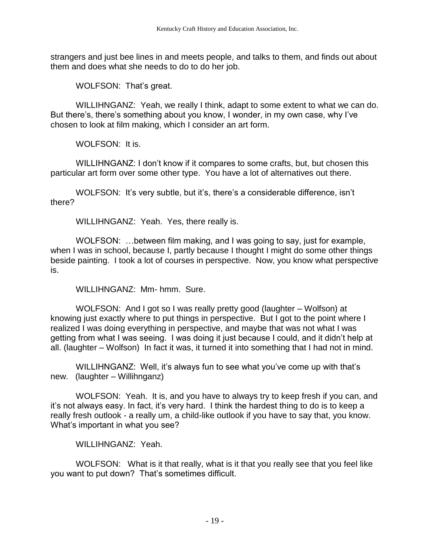strangers and just bee lines in and meets people, and talks to them, and finds out about them and does what she needs to do to do her job.

WOLFSON: That's great.

WILLIHNGANZ: Yeah, we really I think, adapt to some extent to what we can do. But there's, there's something about you know, I wonder, in my own case, why I've chosen to look at film making, which I consider an art form.

WOLFSON: It is.

WILLIHNGANZ: I don't know if it compares to some crafts, but, but chosen this particular art form over some other type. You have a lot of alternatives out there.

WOLFSON: It's very subtle, but it's, there's a considerable difference, isn't there?

WILLIHNGANZ: Yeah. Yes, there really is.

WOLFSON: …between film making, and I was going to say, just for example, when I was in school, because I, partly because I thought I might do some other things beside painting. I took a lot of courses in perspective. Now, you know what perspective is.

WILLIHNGANZ: Mm- hmm. Sure.

WOLFSON: And I got so I was really pretty good (laughter – Wolfson) at knowing just exactly where to put things in perspective. But I got to the point where I realized I was doing everything in perspective, and maybe that was not what I was getting from what I was seeing. I was doing it just because I could, and it didn't help at all. (laughter – Wolfson) In fact it was, it turned it into something that I had not in mind.

WILLIHNGANZ: Well, it's always fun to see what you've come up with that's new. (laughter – Willihnganz)

WOLFSON: Yeah. It is, and you have to always try to keep fresh if you can, and it's not always easy. In fact, it's very hard. I think the hardest thing to do is to keep a really fresh outlook - a really um, a child-like outlook if you have to say that, you know. What's important in what you see?

WILLIHNGANZ: Yeah.

WOLFSON: What is it that really, what is it that you really see that you feel like you want to put down? That's sometimes difficult.